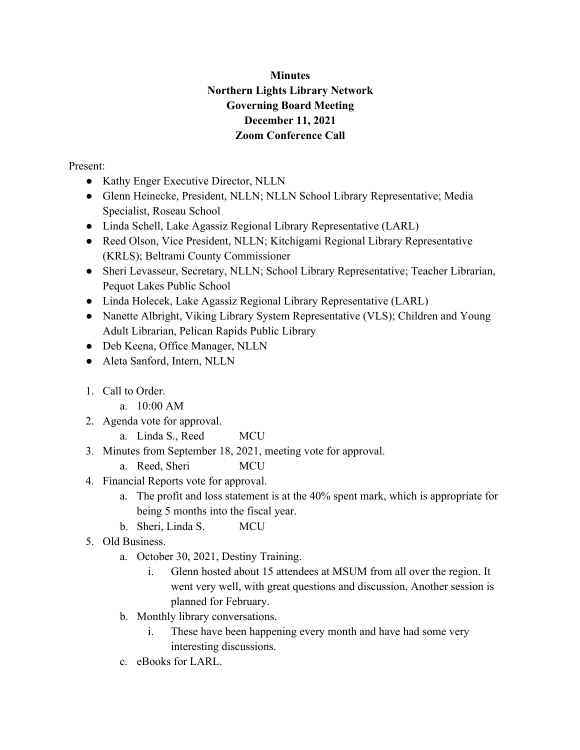## **Minutes Northern Lights Library Network Governing Board Meeting December 11, 2021 Zoom Conference Call**

Present:

- Kathy Enger Executive Director, NLLN
- Glenn Heinecke, President, NLLN; NLLN School Library Representative; Media Specialist, Roseau School
- Linda Schell, Lake Agassiz Regional Library Representative (LARL)
- Reed Olson, Vice President, NLLN; Kitchigami Regional Library Representative (KRLS); Beltrami County Commissioner
- Sheri Levasseur, Secretary, NLLN; School Library Representative; Teacher Librarian, Pequot Lakes Public School
- Linda Holecek, Lake Agassiz Regional Library Representative (LARL)
- Nanette Albright, Viking Library System Representative (VLS); Children and Young Adult Librarian, Pelican Rapids Public Library
- Deb Keena, Office Manager, NLLN
- Aleta Sanford, Intern, NLLN
- 1. Call to Order.
	- a. 10:00 AM
- 2. Agenda vote for approval.
	- a. Linda S., Reed MCU
- 3. Minutes from September 18, 2021, meeting vote for approval.
	- a. Reed, Sheri MCU
- 4. Financial Reports vote for approval.
	- a. The profit and loss statement is at the 40% spent mark, which is appropriate for being 5 months into the fiscal year.
	- b. Sheri, Linda S. MCU
- 5. Old Business.
	- a. October 30, 2021, Destiny Training.
		- i. Glenn hosted about 15 attendees at MSUM from all over the region. It went very well, with great questions and discussion. Another session is planned for February.
	- b. Monthly library conversations.
		- i. These have been happening every month and have had some very interesting discussions.
	- c. eBooks for LARL.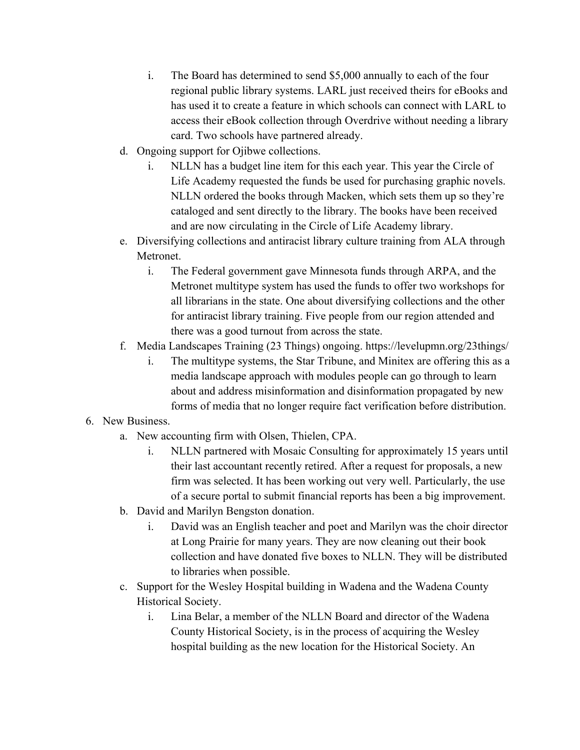- i. The Board has determined to send \$5,000 annually to each of the four regional public library systems. LARL just received theirs for eBooks and has used it to create a feature in which schools can connect with LARL to access their eBook collection through Overdrive without needing a library card. Two schools have partnered already.
- d. Ongoing support for Ojibwe collections.
	- i. NLLN has a budget line item for this each year. This year the Circle of Life Academy requested the funds be used for purchasing graphic novels. NLLN ordered the books through Macken, which sets them up so they're cataloged and sent directly to the library. The books have been received and are now circulating in the Circle of Life Academy library.
- e. Diversifying collections and antiracist library culture training from ALA through Metronet.
	- i. The Federal government gave Minnesota funds through ARPA, and the Metronet multitype system has used the funds to offer two workshops for all librarians in the state. One about diversifying collections and the other for antiracist library training. Five people from our region attended and there was a good turnout from across the state.
- f. Media Landscapes Training (23 Things) ongoing. https://levelupmn.org/23things/
	- i. The multitype systems, the Star Tribune, and Minitex are offering this as a media landscape approach with modules people can go through to learn about and address misinformation and disinformation propagated by new forms of media that no longer require fact verification before distribution.
- 6. New Business.
	- a. New accounting firm with Olsen, Thielen, CPA.
		- i. NLLN partnered with Mosaic Consulting for approximately 15 years until their last accountant recently retired. After a request for proposals, a new firm was selected. It has been working out very well. Particularly, the use of a secure portal to submit financial reports has been a big improvement.
	- b. David and Marilyn Bengston donation.
		- i. David was an English teacher and poet and Marilyn was the choir director at Long Prairie for many years. They are now cleaning out their book collection and have donated five boxes to NLLN. They will be distributed to libraries when possible.
	- c. Support for the Wesley Hospital building in Wadena and the Wadena County Historical Society.
		- i. Lina Belar, a member of the NLLN Board and director of the Wadena County Historical Society, is in the process of acquiring the Wesley hospital building as the new location for the Historical Society. An